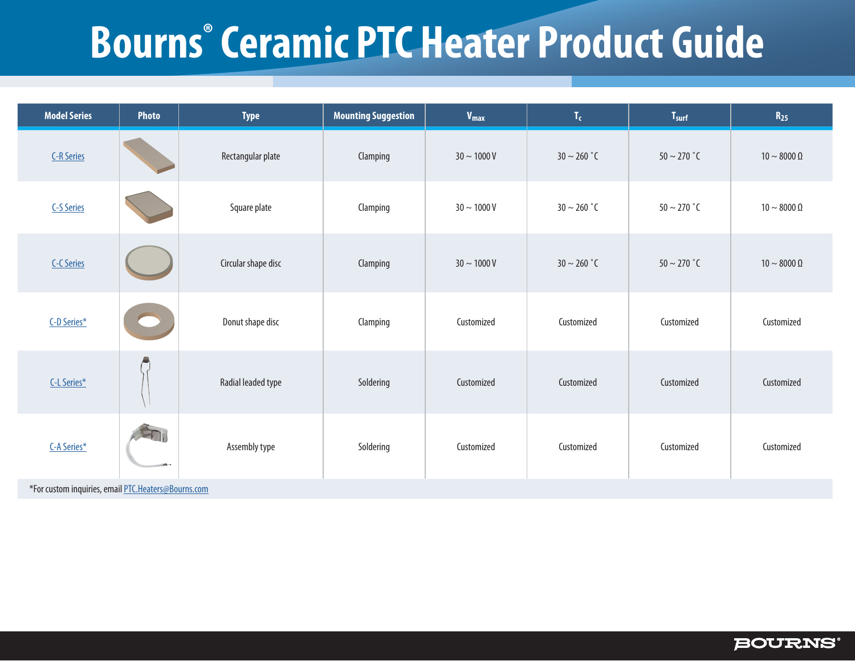## **Bourns® Ceramic PTC Heater Product Guide**

| <b>Model Series</b>                                 | Photo | <b>Type</b>         | <b>Mounting Suggestion</b> | $V_{max}$        | $\mathbf{T_{c}}$ | T <sub>surf</sub>          | $R_{25}$                |
|-----------------------------------------------------|-------|---------------------|----------------------------|------------------|------------------|----------------------------|-------------------------|
| <b>C-R Series</b>                                   |       | Rectangular plate   | Clamping                   | $30 \sim 1000$ V | $30 \sim 260$ °C | $50 \sim 270$ $^{\circ}$ C | 10 $\sim$ 8000 $\Omega$ |
| <b>C-S Series</b>                                   |       | Square plate        | Clamping                   | $30 \sim 1000$ V | $30 \sim 260$ °C | $50 \sim 270$ $^{\circ}$ C | 10 $\sim$ 8000 $\Omega$ |
| <b>C-C Series</b>                                   |       | Circular shape disc | Clamping                   | $30 \sim 1000$ V | $30 \sim 260$ °C | $50 \sim 270$ °C           | 10 $\sim$ 8000 $\Omega$ |
| C-D Series*                                         |       | Donut shape disc    | Clamping                   | Customized       | Customized       | Customized                 | Customized              |
| C-L Series*                                         |       | Radial leaded type  | Soldering                  | Customized       | Customized       | Customized                 | Customized              |
| C-A Series*                                         |       | Assembly type       | Soldering                  | Customized       | Customized       | Customized                 | Customized              |
| *For custom inquiries, email PTC.Heaters@Bourns.com |       |                     |                            |                  |                  |                            |                         |